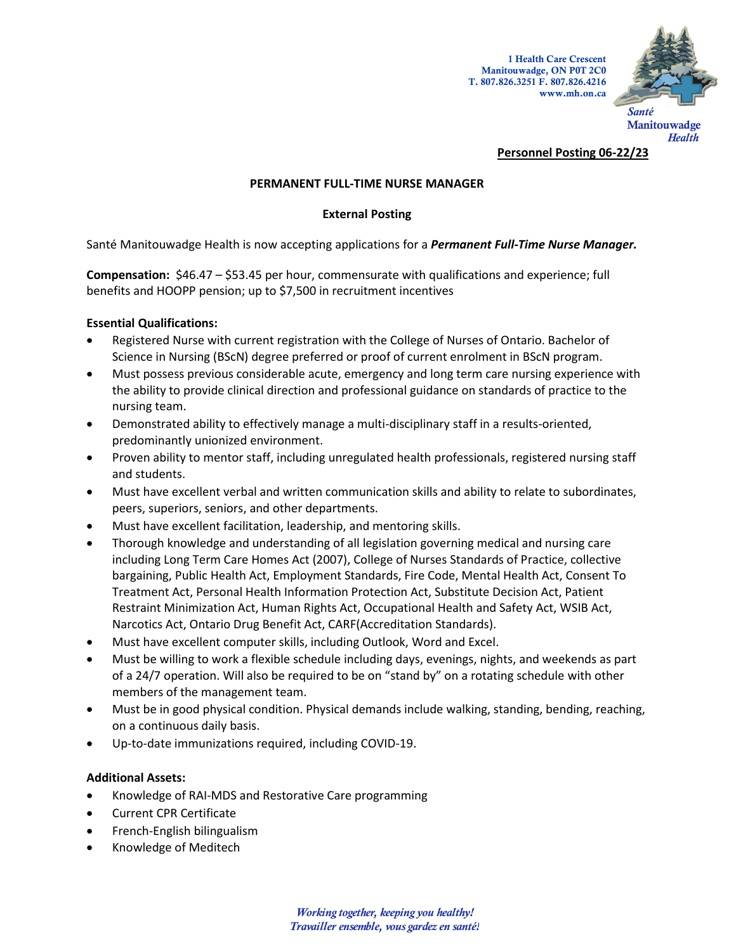

### **Personnel Posting 06-22/23**

## **PERMANENT FULL-TIME NURSE MANAGER**

# **External Posting**

Santé Manitouwadge Health is now accepting applications for a *Permanent Full-Time Nurse Manager.*

**Compensation:** \$46.47 – \$53.45 per hour, commensurate with qualifications and experience; full benefits and HOOPP pension; up to \$7,500 in recruitment incentives

## **Essential Qualifications:**

- Registered Nurse with current registration with the College of Nurses of Ontario. Bachelor of Science in Nursing (BScN) degree preferred or proof of current enrolment in BScN program.
- Must possess previous considerable acute, emergency and long term care nursing experience with the ability to provide clinical direction and professional guidance on standards of practice to the nursing team.
- Demonstrated ability to effectively manage a multi-disciplinary staff in a results-oriented, predominantly unionized environment.
- Proven ability to mentor staff, including unregulated health professionals, registered nursing staff and students.
- Must have excellent verbal and written communication skills and ability to relate to subordinates, peers, superiors, seniors, and other departments.
- Must have excellent facilitation, leadership, and mentoring skills.
- Thorough knowledge and understanding of all legislation governing medical and nursing care including Long Term Care Homes Act (2007), College of Nurses Standards of Practice, collective bargaining, Public Health Act, Employment Standards, Fire Code, Mental Health Act, Consent To Treatment Act, Personal Health Information Protection Act, Substitute Decision Act, Patient Restraint Minimization Act, Human Rights Act, Occupational Health and Safety Act, WSIB Act, Narcotics Act, Ontario Drug Benefit Act, CARF(Accreditation Standards).
- Must have excellent computer skills, including Outlook, Word and Excel.
- Must be willing to work a flexible schedule including days, evenings, nights, and weekends as part of a 24/7 operation. Will also be required to be on "stand by" on a rotating schedule with other members of the management team.
- Must be in good physical condition. Physical demands include walking, standing, bending, reaching, on a continuous daily basis.
- Up-to-date immunizations required, including COVID-19.

## **Additional Assets:**

- Knowledge of RAI-MDS and Restorative Care programming
- Current CPR Certificate
- French-English bilingualism
- Knowledge of Meditech